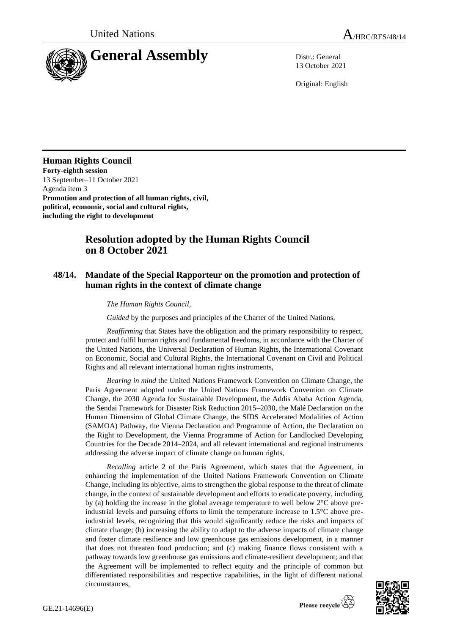

13 October 2021

Original: English

## **Human Rights Council**

**Forty-eighth session** 13 September–11 October 2021 Agenda item 3 **Promotion and protection of all human rights, civil, political, economic, social and cultural rights, including the right to development**

## **Resolution adopted by the Human Rights Council on 8 October 2021**

## **48/14. Mandate of the Special Rapporteur on the promotion and protection of human rights in the context of climate change**

## *The Human Rights Council*,

*Guided* by the purposes and principles of the Charter of the United Nations,

*Reaffirming* that States have the obligation and the primary responsibility to respect, protect and fulfil human rights and fundamental freedoms, in accordance with the Charter of the United Nations, the Universal Declaration of Human Rights, the International Covenant on Economic, Social and Cultural Rights, the International Covenant on Civil and Political Rights and all relevant international human rights instruments,

*Bearing in mind* the United Nations Framework Convention on Climate Change, the Paris Agreement adopted under the United Nations Framework Convention on Climate Change, the 2030 Agenda for Sustainable Development, the Addis Ababa Action Agenda, the Sendai Framework for Disaster Risk Reduction 2015–2030, the Malé Declaration on the Human Dimension of Global Climate Change, the SIDS Accelerated Modalities of Action (SAMOA) Pathway, the Vienna Declaration and Programme of Action, the Declaration on the Right to Development, the Vienna Programme of Action for Landlocked Developing Countries for the Decade 2014–2024, and all relevant international and regional instruments addressing the adverse impact of climate change on human rights,

*Recalling* article 2 of the Paris Agreement, which states that the Agreement, in enhancing the implementation of the United Nations Framework Convention on Climate Change, including its objective, aims to strengthen the global response to the threat of climate change, in the context of sustainable development and efforts to eradicate poverty, including by (a) holding the increase in the global average temperature to well below 2°C above preindustrial levels and pursuing efforts to limit the temperature increase to 1.5°C above preindustrial levels, recognizing that this would significantly reduce the risks and impacts of climate change; (b) increasing the ability to adapt to the adverse impacts of climate change and foster climate resilience and low greenhouse gas emissions development, in a manner that does not threaten food production; and (c) making finance flows consistent with a pathway towards low greenhouse gas emissions and climate-resilient development; and that the Agreement will be implemented to reflect equity and the principle of common but differentiated responsibilities and respective capabilities, in the light of different national circumstances,

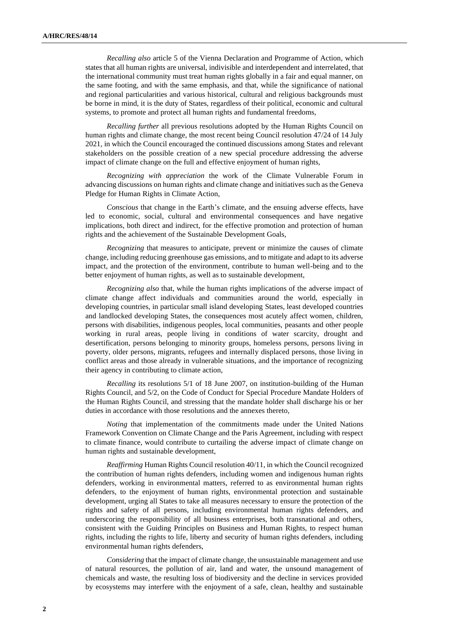*Recalling also* article 5 of the Vienna Declaration and Programme of Action, which states that all human rights are universal, indivisible and interdependent and interrelated, that the international community must treat human rights globally in a fair and equal manner, on the same footing, and with the same emphasis, and that, while the significance of national and regional particularities and various historical, cultural and religious backgrounds must be borne in mind, it is the duty of States, regardless of their political, economic and cultural systems, to promote and protect all human rights and fundamental freedoms,

*Recalling further* all previous resolutions adopted by the Human Rights Council on human rights and climate change, the most recent being Council resolution 47/24 of 14 July 2021, in which the Council encouraged the continued discussions among States and relevant stakeholders on the possible creation of a new special procedure addressing the adverse impact of climate change on the full and effective enjoyment of human rights,

*Recognizing with appreciation* the work of the Climate Vulnerable Forum in advancing discussions on human rights and climate change and initiatives such as the Geneva Pledge for Human Rights in Climate Action,

*Conscious* that change in the Earth's climate, and the ensuing adverse effects, have led to economic, social, cultural and environmental consequences and have negative implications, both direct and indirect, for the effective promotion and protection of human rights and the achievement of the Sustainable Development Goals,

*Recognizing* that measures to anticipate, prevent or minimize the causes of climate change, including reducing greenhouse gas emissions, and to mitigate and adapt to its adverse impact, and the protection of the environment, contribute to human well-being and to the better enjoyment of human rights, as well as to sustainable development,

*Recognizing also* that, while the human rights implications of the adverse impact of climate change affect individuals and communities around the world, especially in developing countries, in particular small island developing States, least developed countries and landlocked developing States, the consequences most acutely affect women, children, persons with disabilities, indigenous peoples, local communities, peasants and other people working in rural areas, people living in conditions of water scarcity, drought and desertification, persons belonging to minority groups, homeless persons, persons living in poverty, older persons, migrants, refugees and internally displaced persons, those living in conflict areas and those already in vulnerable situations, and the importance of recognizing their agency in contributing to climate action,

*Recalling* its resolutions 5/1 of 18 June 2007, on institution-building of the Human Rights Council, and 5/2, on the Code of Conduct for Special Procedure Mandate Holders of the Human Rights Council, and stressing that the mandate holder shall discharge his or her duties in accordance with those resolutions and the annexes thereto,

*Noting* that implementation of the commitments made under the United Nations Framework Convention on Climate Change and the Paris Agreement, including with respect to climate finance, would contribute to curtailing the adverse impact of climate change on human rights and sustainable development,

*Reaffirming* Human Rights Council resolution 40/11, in which the Council recognized the contribution of human rights defenders, including women and indigenous human rights defenders, working in environmental matters, referred to as environmental human rights defenders, to the enjoyment of human rights, environmental protection and sustainable development, urging all States to take all measures necessary to ensure the protection of the rights and safety of all persons, including environmental human rights defenders, and underscoring the responsibility of all business enterprises, both transnational and others, consistent with the Guiding Principles on Business and Human Rights, to respect human rights, including the rights to life, liberty and security of human rights defenders, including environmental human rights defenders,

*Considering* that the impact of climate change, the unsustainable management and use of natural resources, the pollution of air, land and water, the unsound management of chemicals and waste, the resulting loss of biodiversity and the decline in services provided by ecosystems may interfere with the enjoyment of a safe, clean, healthy and sustainable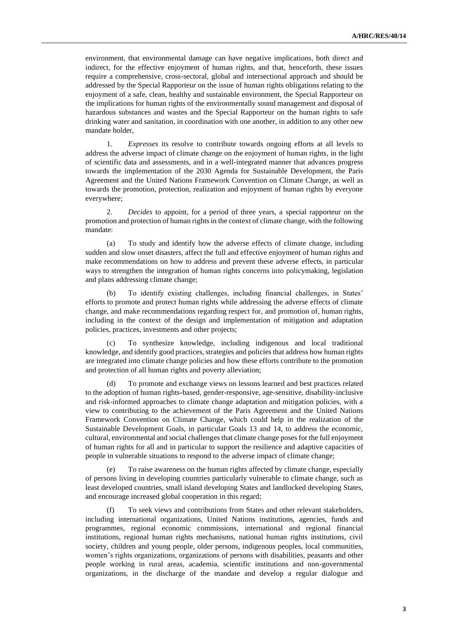environment, that environmental damage can have negative implications, both direct and indirect, for the effective enjoyment of human rights, and that, henceforth, these issues require a comprehensive, cross-sectoral, global and intersectional approach and should be addressed by the Special Rapporteur on the issue of human rights obligations relating to the enjoyment of a safe, clean, healthy and sustainable environment, the Special Rapporteur on the implications for human rights of the environmentally sound management and disposal of hazardous substances and wastes and the Special Rapporteur on the human rights to safe drinking water and sanitation, in coordination with one another, in addition to any other new mandate holder,

1. *Expresses* its resolve to contribute towards ongoing efforts at all levels to address the adverse impact of climate change on the enjoyment of human rights, in the light of scientific data and assessments, and in a well-integrated manner that advances progress towards the implementation of the 2030 Agenda for Sustainable Development, the Paris Agreement and the United Nations Framework Convention on Climate Change, as well as towards the promotion, protection, realization and enjoyment of human rights by everyone everywhere;

2. *Decides* to appoint, for a period of three years, a special rapporteur on the promotion and protection of human rights in the context of climate change, with the following mandate:

(a) To study and identify how the adverse effects of climate change, including sudden and slow onset disasters, affect the full and effective enjoyment of human rights and make recommendations on how to address and prevent these adverse effects, in particular ways to strengthen the integration of human rights concerns into policymaking, legislation and plans addressing climate change;

(b) To identify existing challenges, including financial challenges, in States' efforts to promote and protect human rights while addressing the adverse effects of climate change, and make recommendations regarding respect for, and promotion of, human rights, including in the context of the design and implementation of mitigation and adaptation policies, practices, investments and other projects;

(c) To synthesize knowledge, including indigenous and local traditional knowledge, and identify good practices, strategies and policies that address how human rights are integrated into climate change policies and how these efforts contribute to the promotion and protection of all human rights and poverty alleviation;

To promote and exchange views on lessons learned and best practices related to the adoption of human rights-based, gender-responsive, age-sensitive, disability-inclusive and risk-informed approaches to climate change adaptation and mitigation policies, with a view to contributing to the achievement of the Paris Agreement and the United Nations Framework Convention on Climate Change, which could help in the realization of the Sustainable Development Goals, in particular Goals 13 and 14, to address the economic, cultural, environmental and social challenges that climate change poses for the full enjoyment of human rights for all and in particular to support the resilience and adaptive capacities of people in vulnerable situations to respond to the adverse impact of climate change;

(e) To raise awareness on the human rights affected by climate change, especially of persons living in developing countries particularly vulnerable to climate change, such as least developed countries, small island developing States and landlocked developing States, and encourage increased global cooperation in this regard;

(f) To seek views and contributions from States and other relevant stakeholders, including international organizations, United Nations institutions, agencies, funds and programmes, regional economic commissions, international and regional financial institutions, regional human rights mechanisms, national human rights institutions, civil society, children and young people, older persons, indigenous peoples, local communities, women's rights organizations, organizations of persons with disabilities, peasants and other people working in rural areas, academia, scientific institutions and non-governmental organizations, in the discharge of the mandate and develop a regular dialogue and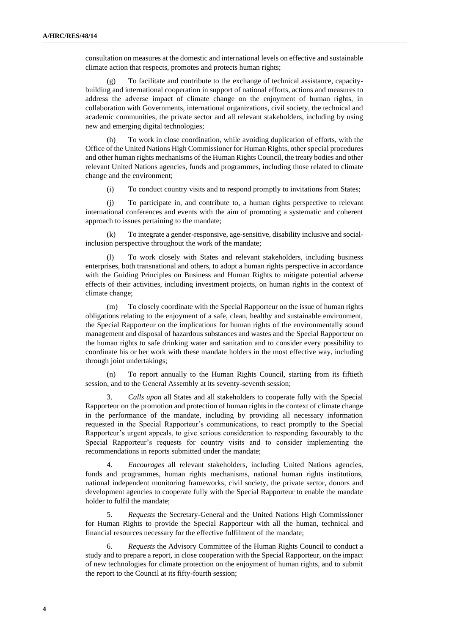consultation on measures at the domestic and international levels on effective and sustainable climate action that respects, promotes and protects human rights;

(g) To facilitate and contribute to the exchange of technical assistance, capacitybuilding and international cooperation in support of national efforts, actions and measures to address the adverse impact of climate change on the enjoyment of human rights, in collaboration with Governments, international organizations, civil society, the technical and academic communities, the private sector and all relevant stakeholders, including by using new and emerging digital technologies;

(h) To work in close coordination, while avoiding duplication of efforts, with the Office of the United Nations High Commissioner for Human Rights, other special procedures and other human rights mechanisms of the Human Rights Council, the treaty bodies and other relevant United Nations agencies, funds and programmes, including those related to climate change and the environment;

(i) To conduct country visits and to respond promptly to invitations from States;

(j) To participate in, and contribute to, a human rights perspective to relevant international conferences and events with the aim of promoting a systematic and coherent approach to issues pertaining to the mandate;

To integrate a gender-responsive, age-sensitive, disability inclusive and socialinclusion perspective throughout the work of the mandate;

(l) To work closely with States and relevant stakeholders, including business enterprises, both transnational and others, to adopt a human rights perspective in accordance with the Guiding Principles on Business and Human Rights to mitigate potential adverse effects of their activities, including investment projects, on human rights in the context of climate change;

(m) To closely coordinate with the Special Rapporteur on the issue of human rights obligations relating to the enjoyment of a safe, clean, healthy and sustainable environment, the Special Rapporteur on the implications for human rights of the environmentally sound management and disposal of hazardous substances and wastes and the Special Rapporteur on the human rights to safe drinking water and sanitation and to consider every possibility to coordinate his or her work with these mandate holders in the most effective way, including through joint undertakings;

(n) To report annually to the Human Rights Council, starting from its fiftieth session, and to the General Assembly at its seventy-seventh session;

3. *Calls upon* all States and all stakeholders to cooperate fully with the Special Rapporteur on the promotion and protection of human rights in the context of climate change in the performance of the mandate, including by providing all necessary information requested in the Special Rapporteur's communications, to react promptly to the Special Rapporteur's urgent appeals, to give serious consideration to responding favourably to the Special Rapporteur's requests for country visits and to consider implementing the recommendations in reports submitted under the mandate;

4. *Encourages* all relevant stakeholders, including United Nations agencies, funds and programmes, human rights mechanisms, national human rights institutions, national independent monitoring frameworks, civil society, the private sector, donors and development agencies to cooperate fully with the Special Rapporteur to enable the mandate holder to fulfil the mandate;

5. *Requests* the Secretary-General and the United Nations High Commissioner for Human Rights to provide the Special Rapporteur with all the human, technical and financial resources necessary for the effective fulfilment of the mandate;

6. *Requests* the Advisory Committee of the Human Rights Council to conduct a study and to prepare a report, in close cooperation with the Special Rapporteur, on the impact of new technologies for climate protection on the enjoyment of human rights, and to submit the report to the Council at its fifty-fourth session;